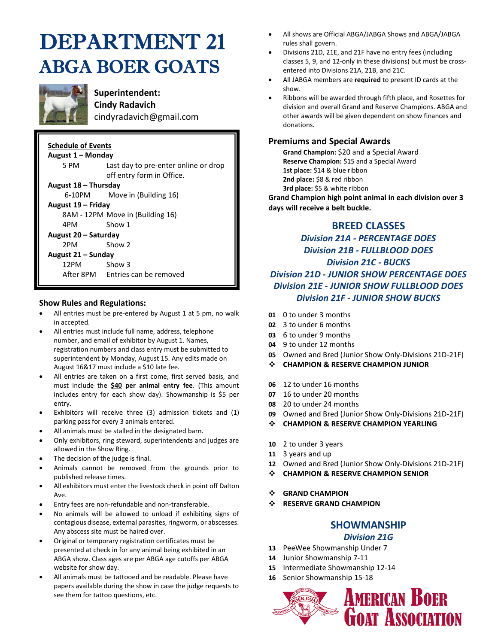# DEPARTMENT 21 ABGA BOER GOATS



**Superintendent: Cindy Radavich** cindyradavich@gmail.com

| <b>Schedule of Events</b> |                                                                   |  |  |  |  |  |  |  |
|---------------------------|-------------------------------------------------------------------|--|--|--|--|--|--|--|
| August 1 – Monday         |                                                                   |  |  |  |  |  |  |  |
| 5 PM -                    | Last day to pre-enter online or drop<br>off entry form in Office. |  |  |  |  |  |  |  |
| August 18 – Thursday      |                                                                   |  |  |  |  |  |  |  |
|                           | 6-10PM Move in (Building 16)                                      |  |  |  |  |  |  |  |
| August 19 – Friday        |                                                                   |  |  |  |  |  |  |  |
|                           | 8AM - 12PM Move in (Building 16)                                  |  |  |  |  |  |  |  |
| 4PM —                     | Show 1                                                            |  |  |  |  |  |  |  |
| August 20 – Saturday      |                                                                   |  |  |  |  |  |  |  |
| 2PM —                     | Show 2                                                            |  |  |  |  |  |  |  |
| August 21 – Sunday        |                                                                   |  |  |  |  |  |  |  |
| 12PM                      | Show 3                                                            |  |  |  |  |  |  |  |
|                           | After 8PM Entries can be removed                                  |  |  |  |  |  |  |  |

#### **Show Rules and Regulations:**

- All entries must be pre-entered by August 1 at 5 pm, no walk in accepted.
- All entries must include full name, address, telephone number, and email of exhibitor by August 1. Names, registration numbers and class entry must be submitted to superintendent by Monday, August 15. Any edits made on August 16&17 must include a \$10 late fee.
- All entries are taken on a first come, first served basis, and must include the **\$40 per animal entry fee**. (This amount includes entry for each show day). Showmanship is \$5 per entry.
- Exhibitors will receive three (3) admission tickets and (1) parking pass for every 3 animals entered.
- All animals must be stalled in the designated barn.
- Only exhibitors, ring steward, superintendents and judges are allowed in the Show Ring.
- The decision of the judge is final.
- Animals cannot be removed from the grounds prior to published release times.
- All exhibitors must enter the livestock check in point off Dalton Ave.
- Entry fees are non-refundable and non-transferable.
- No animals will be allowed to unload if exhibiting signs of contagious disease, external parasites, ringworm, or abscesses. Any abscess site must be haired over.
- Original or temporary registration certificates must be presented at check in for any animal being exhibited in an ABGA show. Class ages are per ABGA age cutoffs per ABGA website for show day.
- All animals must be tattooed and be readable. Please have papers available during the show in case the judge requests to see them for tattoo questions, etc.
- All shows are Official ABGA/JABGA Shows and ABGA/JABGA rules shall govern.
- Divisions 21D, 21E, and 21F have no entry fees (including classes 5, 9, and 12-only in these divisions) but must be crossentered into Divisions 21A, 21B, and 21C.
- All JABGA members are **required** to present ID cards at the show.
- Ribbons will be awarded through fifth place, and Rosettes for division and overall Grand and Reserve Champions. ABGA and other awards will be given dependent on show finances and donations.

### **Premiums and Special Awards**

**Grand Champion:** \$20 and a Special Award **Reserve Champion:** \$15 and a Special Award **1st place:** \$14 & blue ribbon **2nd place:** \$8 & red ribbon **3rd place:** \$5 & white ribbon

**Grand Champion high point animal in each division over 3 days will receive a belt buckle.**

## **BREED CLASSES**

*Division 21A - PERCENTAGE DOES Division 21B - FULLBLOOD DOES Division 21C - BUCKS Division 21D - JUNIOR SHOW PERCENTAGE DOES Division 21E - JUNIOR SHOW FULLBLOOD DOES Division 21F - JUNIOR SHOW BUCKS*

- **01** 0 to under 3 months
- **02** 3 to under 6 months
- **03** 6 to under 9 months
- **04** 9 to under 12 months
- **05** Owned and Bred (Junior Show Only-Divisions 21D-21F)
- ❖ **CHAMPION & RESERVE CHAMPION JUNIOR**
- **06** 12 to under 16 months
- **07** 16 to under 20 months
- **08** 20 to under 24 months
- **09** Owned and Bred (Junior Show Only-Divisions 21D-21F)
- ❖ **CHAMPION & RESERVE CHAMPION YEARLING**
- **10** 2 to under 3 years
- **11** 3 years and up
- **12** Owned and Bred (Junior Show Only-Divisions 21D-21F)
- ❖ **CHAMPION & RESERVE CHAMPION SENIOR**
- ❖ **GRAND CHAMPION**
- ❖ **RESERVE GRAND CHAMPION**

## **SHOWMANSHIP**

#### *Division 21G*

- **13** PeeWee Showmanship Under 7
- **14** Junior Showmanship 7-11
- **15** Intermediate Showmanship 12-14
- **16** Senior Showmanship 15-18